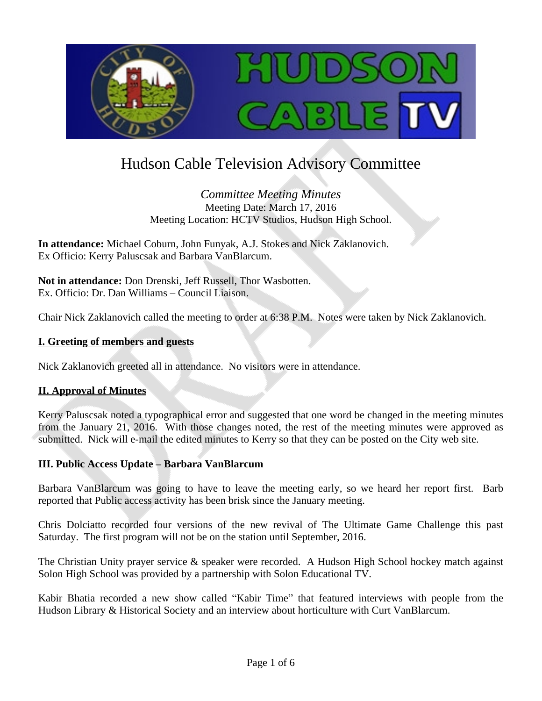

# Hudson Cable Television Advisory Committee

*Committee Meeting Minutes* Meeting Date: March 17, 2016 Meeting Location: HCTV Studios, Hudson High School.

**In attendance:** Michael Coburn, John Funyak, A.J. Stokes and Nick Zaklanovich. Ex Officio: Kerry Paluscsak and Barbara VanBlarcum.

**Not in attendance:** Don Drenski, Jeff Russell, Thor Wasbotten. Ex. Officio: Dr. Dan Williams – Council Liaison.

Chair Nick Zaklanovich called the meeting to order at 6:38 P.M. Notes were taken by Nick Zaklanovich.

### **I. Greeting of members and guests**

Nick Zaklanovich greeted all in attendance. No visitors were in attendance.

#### **II. Approval of Minutes**

Kerry Paluscsak noted a typographical error and suggested that one word be changed in the meeting minutes from the January 21, 2016. With those changes noted, the rest of the meeting minutes were approved as submitted. Nick will e-mail the edited minutes to Kerry so that they can be posted on the City web site.

#### **III. Public Access Update – Barbara VanBlarcum**

Barbara VanBlarcum was going to have to leave the meeting early, so we heard her report first. Barb reported that Public access activity has been brisk since the January meeting.

Chris Dolciatto recorded four versions of the new revival of The Ultimate Game Challenge this past Saturday. The first program will not be on the station until September, 2016.

The Christian Unity prayer service & speaker were recorded. A Hudson High School hockey match against Solon High School was provided by a partnership with Solon Educational TV.

Kabir Bhatia recorded a new show called "Kabir Time" that featured interviews with people from the Hudson Library & Historical Society and an interview about horticulture with Curt VanBlarcum.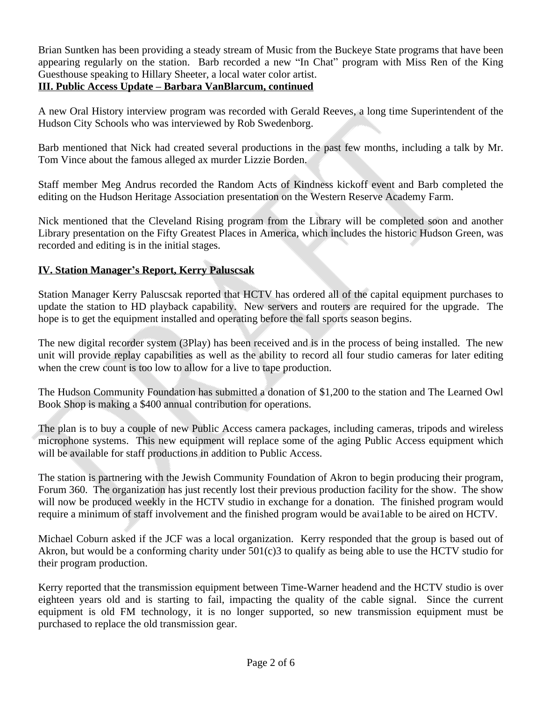Brian Suntken has been providing a steady stream of Music from the Buckeye State programs that have been appearing regularly on the station. Barb recorded a new "In Chat" program with Miss Ren of the King Guesthouse speaking to Hillary Sheeter, a local water color artist.

## **III. Public Access Update – Barbara VanBlarcum, continued**

A new Oral History interview program was recorded with Gerald Reeves, a long time Superintendent of the Hudson City Schools who was interviewed by Rob Swedenborg.

Barb mentioned that Nick had created several productions in the past few months, including a talk by Mr. Tom Vince about the famous alleged ax murder Lizzie Borden.

Staff member Meg Andrus recorded the Random Acts of Kindness kickoff event and Barb completed the editing on the Hudson Heritage Association presentation on the Western Reserve Academy Farm.

Nick mentioned that the Cleveland Rising program from the Library will be completed soon and another Library presentation on the Fifty Greatest Places in America, which includes the historic Hudson Green, was recorded and editing is in the initial stages.

### **IV. Station Manager's Report, Kerry Paluscsak**

Station Manager Kerry Paluscsak reported that HCTV has ordered all of the capital equipment purchases to update the station to HD playback capability. New servers and routers are required for the upgrade. The hope is to get the equipment installed and operating before the fall sports season begins.

The new digital recorder system (3Play) has been received and is in the process of being installed. The new unit will provide replay capabilities as well as the ability to record all four studio cameras for later editing when the crew count is too low to allow for a live to tape production.

The Hudson Community Foundation has submitted a donation of \$1,200 to the station and The Learned Owl Book Shop is making a \$400 annual contribution for operations.

The plan is to buy a couple of new Public Access camera packages, including cameras, tripods and wireless microphone systems. This new equipment will replace some of the aging Public Access equipment which will be available for staff productions in addition to Public Access.

The station is partnering with the Jewish Community Foundation of Akron to begin producing their program, Forum 360. The organization has just recently lost their previous production facility for the show. The show will now be produced weekly in the HCTV studio in exchange for a donation. The finished program would require a minimum of staff involvement and the finished program would be avai1able to be aired on HCTV.

Michael Coburn asked if the JCF was a local organization. Kerry responded that the group is based out of Akron, but would be a conforming charity under 501(c)3 to qualify as being able to use the HCTV studio for their program production.

Kerry reported that the transmission equipment between Time-Warner headend and the HCTV studio is over eighteen years old and is starting to fail, impacting the quality of the cable signal. Since the current equipment is old FM technology, it is no longer supported, so new transmission equipment must be purchased to replace the old transmission gear.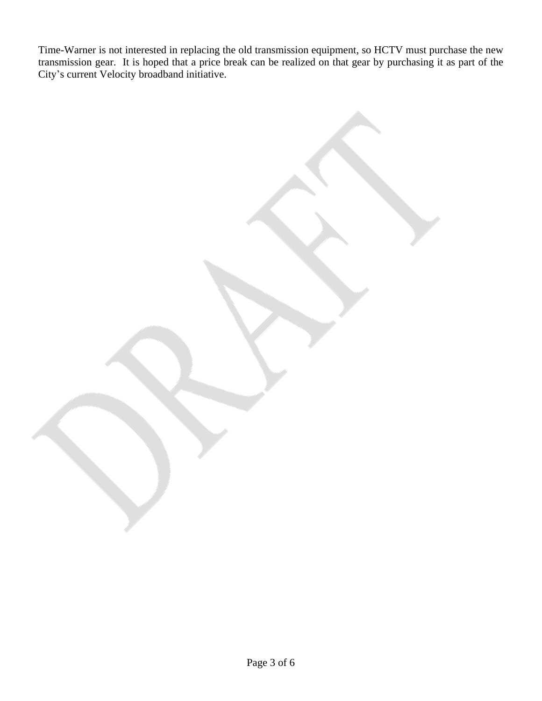Time-Warner is not interested in replacing the old transmission equipment, so HCTV must purchase the new transmission gear. It is hoped that a price break can be realized on that gear by purchasing it as part of the City's current Velocity broadband initiative.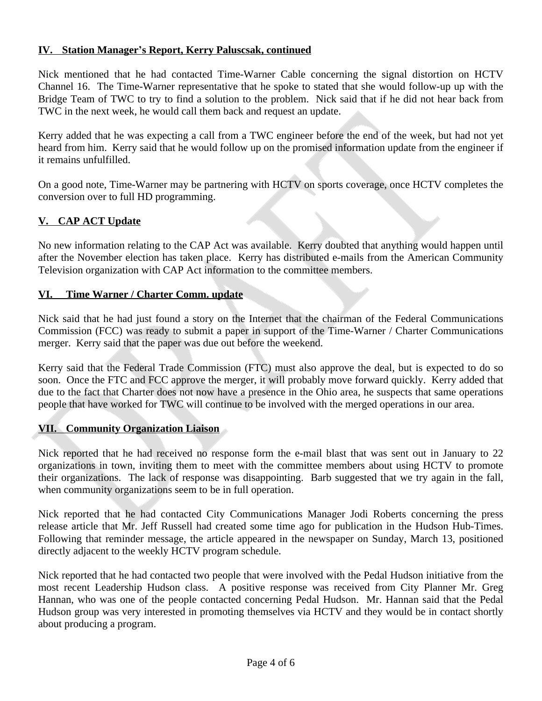## **IV. Station Manager's Report, Kerry Paluscsak, continued**

Nick mentioned that he had contacted Time-Warner Cable concerning the signal distortion on HCTV Channel 16. The Time-Warner representative that he spoke to stated that she would follow-up up with the Bridge Team of TWC to try to find a solution to the problem. Nick said that if he did not hear back from TWC in the next week, he would call them back and request an update.

Kerry added that he was expecting a call from a TWC engineer before the end of the week, but had not yet heard from him. Kerry said that he would follow up on the promised information update from the engineer if it remains unfulfilled.

On a good note, Time-Warner may be partnering with HCTV on sports coverage, once HCTV completes the conversion over to full HD programming.

# **V. CAP ACT Update**

No new information relating to the CAP Act was available. Kerry doubted that anything would happen until after the November election has taken place. Kerry has distributed e-mails from the American Community Television organization with CAP Act information to the committee members.

### **VI. Time Warner / Charter Comm. update**

Nick said that he had just found a story on the Internet that the chairman of the Federal Communications Commission (FCC) was ready to submit a paper in support of the Time-Warner / Charter Communications merger. Kerry said that the paper was due out before the weekend.

Kerry said that the Federal Trade Commission (FTC) must also approve the deal, but is expected to do so soon. Once the FTC and FCC approve the merger, it will probably move forward quickly. Kerry added that due to the fact that Charter does not now have a presence in the Ohio area, he suspects that same operations people that have worked for TWC will continue to be involved with the merged operations in our area.

# **VII. Community Organization Liaison**

Nick reported that he had received no response form the e-mail blast that was sent out in January to 22 organizations in town, inviting them to meet with the committee members about using HCTV to promote their organizations. The lack of response was disappointing. Barb suggested that we try again in the fall, when community organizations seem to be in full operation.

Nick reported that he had contacted City Communications Manager Jodi Roberts concerning the press release article that Mr. Jeff Russell had created some time ago for publication in the Hudson Hub-Times. Following that reminder message, the article appeared in the newspaper on Sunday, March 13, positioned directly adjacent to the weekly HCTV program schedule.

Nick reported that he had contacted two people that were involved with the Pedal Hudson initiative from the most recent Leadership Hudson class. A positive response was received from City Planner Mr. Greg Hannan, who was one of the people contacted concerning Pedal Hudson. Mr. Hannan said that the Pedal Hudson group was very interested in promoting themselves via HCTV and they would be in contact shortly about producing a program.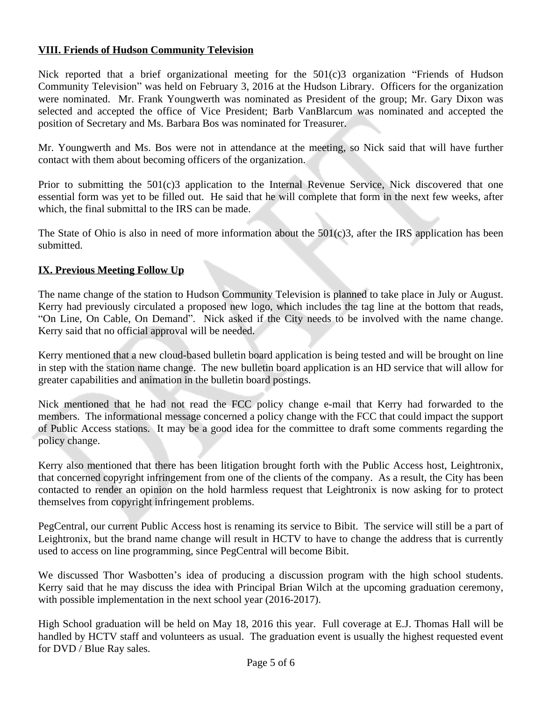### **VIII. Friends of Hudson Community Television**

Nick reported that a brief organizational meeting for the 501(c)3 organization "Friends of Hudson Community Television" was held on February 3, 2016 at the Hudson Library. Officers for the organization were nominated. Mr. Frank Youngwerth was nominated as President of the group; Mr. Gary Dixon was selected and accepted the office of Vice President; Barb VanBlarcum was nominated and accepted the position of Secretary and Ms. Barbara Bos was nominated for Treasurer.

Mr. Youngwerth and Ms. Bos were not in attendance at the meeting, so Nick said that will have further contact with them about becoming officers of the organization.

Prior to submitting the 501(c)3 application to the Internal Revenue Service, Nick discovered that one essential form was yet to be filled out. He said that he will complete that form in the next few weeks, after which, the final submittal to the IRS can be made.

The State of Ohio is also in need of more information about the 501(c)3, after the IRS application has been submitted.

# **IX. Previous Meeting Follow Up**

The name change of the station to Hudson Community Television is planned to take place in July or August. Kerry had previously circulated a proposed new logo, which includes the tag line at the bottom that reads, "On Line, On Cable, On Demand". Nick asked if the City needs to be involved with the name change. Kerry said that no official approval will be needed.

Kerry mentioned that a new cloud-based bulletin board application is being tested and will be brought on line in step with the station name change. The new bulletin board application is an HD service that will allow for greater capabilities and animation in the bulletin board postings.

Nick mentioned that he had not read the FCC policy change e-mail that Kerry had forwarded to the members. The informational message concerned a policy change with the FCC that could impact the support of Public Access stations. It may be a good idea for the committee to draft some comments regarding the policy change.

Kerry also mentioned that there has been litigation brought forth with the Public Access host, Leightronix, that concerned copyright infringement from one of the clients of the company. As a result, the City has been contacted to render an opinion on the hold harmless request that Leightronix is now asking for to protect themselves from copyright infringement problems.

PegCentral, our current Public Access host is renaming its service to Bibit. The service will still be a part of Leightronix, but the brand name change will result in HCTV to have to change the address that is currently used to access on line programming, since PegCentral will become Bibit.

We discussed Thor Wasbotten's idea of producing a discussion program with the high school students. Kerry said that he may discuss the idea with Principal Brian Wilch at the upcoming graduation ceremony, with possible implementation in the next school year (2016-2017).

High School graduation will be held on May 18, 2016 this year. Full coverage at E.J. Thomas Hall will be handled by HCTV staff and volunteers as usual. The graduation event is usually the highest requested event for DVD / Blue Ray sales.